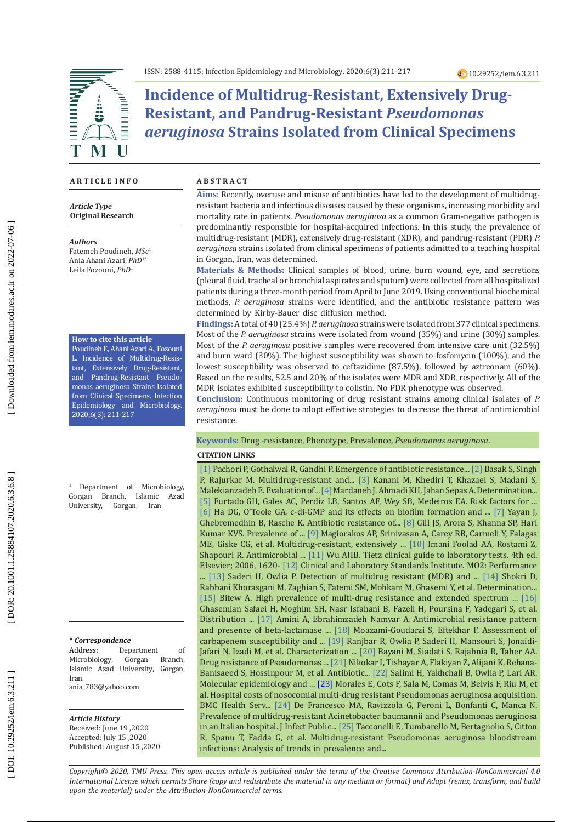

# **Incidence of Multidrug-Resistant, Extensively Drug-Resistant, and Pandrug-Resistant** *Pseudomonas aeruginosa* **Strains Isolated from Clinical Specimens**

### **A R T I C L E I N F O**

*Article Type* **Original Research**

#### *Authors*

Fatemeh Poudineh, *MSc* 1 Ania Ahani Azari, *PhD*1\* Leila Fozouni , *PhD* 1

#### **How to cite this article**

Poudineh F., Ahani Azari A., Fozouni L. Incidence of Multidrug-Resis tant, Extensively Drug-Resistant, and Pandrug-Resistant Pseudo monas aeruginosa Strains Isolated from Clinical Specimens. Infection Epidemiology and Microbiology. 2020;6(3): 211-217

1 Department of Microbiology, Gorgan Branch, Islamic Azad<br>University, Gorgan, Iran University,

#### **\*** *Correspondence*

Address: Department of<br>Microbiology, Gorgan Branch, Microbiology, Islamic Azad University, Gorgan, Iran. ania\_783@yahoo.com

#### *Article History*

Received: June 19 ,2020 Accepted: July 15 ,2020 Published: August 15 ,2020

### **A B S T R A C T**

**Aims**: Recently, overuse and misuse of antibiotics have led to the development of multidrugresistant bacteria and infectious diseases caused by these organisms, increasing morbidity and mortality rate in patients. *Pseudomonas aeruginosa* as a common Gram-negative pathogen is predominantly responsible for hospital-acquired infections. In this study, the prevalence of multidrug-resistant (MDR), extensively drug-resistant (XDR), and pandrug-resistant (PDR) *P. aeruginosa* strains isolated from clinical specimens of patients admitted to a teaching hospital in Gorgan, Iran, was determined.

**Materials & Methods:** Clinical samples of blood, urine, burn wound, eye, and secretions (pleural fluid, tracheal or bronchial aspirates and sputum) were collected from all hospitalized patients during a three-month period from April to June 2019. Using conventional biochemical methods, *P. aeruginosa* strains were identified, and the antibiotic resistance pattern was determined by Kirby-Bauer disc diffusion method.

**Findings:** A total of 40 (25.4%) *P. aeruginosa* strains were isolated from 377 clinical specimens. Most of the *P. aeruginosa* strains were isolated from wound (35%) and urine (30%) samples. Most of the *P. aeruginosa* positive samples were recovered from intensive care unit (32.5%) and burn ward (30%). The highest susceptibility was shown to fosfomycin (100%), and the lowest susceptibility was observed to ceftazidime (87.5%), followed by aztreonam (60%). Based on the results, 52.5 and 20% of the isolates were MDR and XDR, respectively. All of the MDR isolates exhibited susceptibility to colistin. No PDR phenotype was observed.

**Conclusion:** Continuous monitoring of drug resistant strains among clinical isolates of *P. aeruginosa* must be done to adopt effective strategies to decrease the threat of antimicrobial resistance.

### **Keywords:** Drug -resistance, Phenotype, Prevalence, *Pseudomonas aeruginosa* .

### **CITATION LINKS**

[\[1\]](https://www.sciencedirect.com/science/article/pii/S2352304219300170) Pachori P, Gothalwal R, Gandhi P. Emergence of antibiotic resistance... [\[2\]](https://www.hindawi.com/journals/jpath/2016/4065603/abs/) Basak S, Singh P, Rajurkar M. Multidrug-resistant and... [\[3\]](http://yafte.lums.ac.ir/browse.php?a_id=1448&slc_lang=en&sid=1&printcase=1&hbnr=1&hmb=1) Kanani M, Khediri T, Khazaei S, Madani S, Malekianzadeh E. Evaluation of... [\[4\]](file:///C:/Users/USER/AppData/Local/Temp/JFUMS-v3n3p188-en.pdf) Mardaneh J, Ahmadi KH, Jahan Sepas A. Determination... [\[5\]](https://journals.sagepub.com/doi/abs/10.1177/0310057X1003800605) Furtado GH, Gales AC, Perdiz LB, Santos AF, Wey SB, Medeiros EA. Risk factors for ... [\[6\]](https://onlinelibrary.wiley.com/doi/abs/10.1128/9781555817466.ch15) Ha DG, O'Toole GA. c-di-GMP and its effects on biofilm formation and ... [\[7\] Y](https://journals.plos.org/plosone/article?id=10.1371/journal.pone.0139836)ayan J, Ghebremedhin B, Rasche K. Antibiotic resistance of... [\[8\]](https://www.ncbi.nlm.nih.gov/pmc/articles/PMC5126754/) Gill JS, Arora S, Khanna SP, Hari Kumar KVS. Prevalence of ... [\[9\]](https://www.sciencedirect.com/science/article/pii/S1198743X14616323) Magiorakos AP, Srinivasan A, Carey RB, Carmeli Y, Falagas ME, Giske CG, et al. Multidrug-resistant, extensively ... [\[10\]](https://www.sid.ir/en/journal/ViewPaper.aspx?ID=259730) Imani Foolad AA, Rostami Z, Shapouri R. Antimicrobial ... [\[11\]](https://www.elsevier.com/books/tietz-clinical-guide-to-laboratory-tests/wu/978-0-7216-7975-4) Wu AHB. Tietz clinical guide to laboratory tests. 4th ed. Elsevier; 2006, 1620- [\[12\]](https://clsi.org/media/1925/m02ed13_sample.pdf) Clinical and Laboratory Standards Institute. MO2: Performance ... [\[13\]](https://www.ncbi.nlm.nih.gov/pmc/articles/PMC4539747/) Saderi H, Owlia P. Detection of multidrug resistant (MDR) and ... [\[14\]](https://www.ncbi.nlm.nih.gov/pmc/articles/PMC5080677/) Shokri D, Rabbani Khorasgani M, Zaghian S, Fatemi SM, Mohkam M, Ghasemi Y, et al. Determination... [\[15\]](https://www.ncbi.nlm.nih.gov/pmc/articles/PMC6836305/) Bitew A. High prevalence of multi-drug resistance and extended spectrum ... [\[16\]](https://www.ncbi.nlm.nih.gov/pmc/articles/PMC5501067/)  Ghasemian Safaei H, Moghim SH, Nasr Isfahani B, Fazeli H, Poursina F, Yadegari S, et al. Distribution ... [\[17\]](http://jmb.tums.ac.ir/index.php/jmb/article/view/391) Amini A, Ebrahimzadeh Namvar A. Antimicrobial resistance pattern and presence of beta-lactamase ... [\[18\]](https://www.sid.ir/en/Journal/ViewPaper.aspx?ID=290748) Moazami-Goudarzi S, Eftekhar F. Assessment of carbapenem susceptibility and ... [\[19\]](https://www.sid.ir/en/Journal/ViewPaper.aspx?ID=243434) Ranjbar R, Owlia P, Saderi H, Mansouri S, Jonaidi-Jafari N, Izadi M, et al. Characterization ... [\[20\]](https://www.ncbi.nlm.nih.gov/pmc/articles/PMC3927384/) Bayani M, Siadati S, Rajabnia R, Taher AA. Drug resistance of Pseudomonas ... [\[21\]](https://www.ncbi.nlm.nih.gov/pmc/articles/PMC3577559/) Nikokar I, Tishayar A, Flakiyan Z, Alijani K, Rehana-Banisaeed S, Hossinpour M, et al. Antibiotic... [\[22\]](https://academic.oup.com/labmed/article-abstract/41/9/540/2657597) Salimi H, Yakhchali B, Owlia P, Lari AR. Molecular epidemiology and ... [\[23\]](https://link.springer.com/article/10.1186/1472-6963-12-122) Morales E, Cots F, Sala M, Comas M, Belvis F, Riu M, et al. Hospital costs of nosocomial multi-drug resistant Pseudomonas aeruginosa acquisition. BMC Health Serv... [\[24\]](https://pubmed.ncbi.nlm.nih.gov/23668462/) De Francesco MA, Ravizzola G, Peroni L, Bonfanti C, Manca N. Prevalence of multidrug-resistant Acinetobacter baumannii and Pseudomonas aeruginosa in an Italian hospital. J Infect Public... [\[25\]](https://www.ncbi.nlm.nih.gov/pmc/articles/pmc2732442/) Tacconelli E, Tumbarello M, Bertagnolio S, Citton R, Spanu T, Fadda G, et al. Multidrug-resistant Pseudomonas aeruginosa bloodstream infections: Analysis of trends in prevalence and...

*Copyright© 2020, TMU Press. This open-access article is published under the terms of the Creative Commons Attribution-NonCommercial 4.0 International License which permits Share (copy and redistribute the material in any medium or format) and Adapt (remix, transform, and build upon the material) under the Attribution-NonCommercial terms.*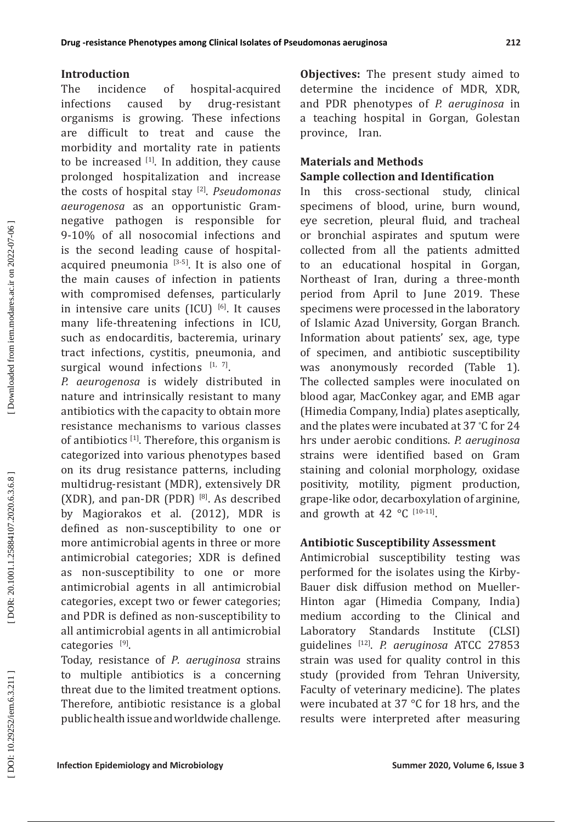The incidence of hospital-acquired infections caused by drug-resistant organisms is growing. These infections are difficult to treat and cause the morbidity and mortality rate in patients to be increased  $[1]$ . In addition, they cause prolonged hospitalization and increase the costs of hospital stay [2]. *Pseudomonas aeurogenosa* as an opportunistic Gramnegative pathogen is responsible for 9-10% of all nosocomial infections and is the second leading cause of hospitalacquired pneumonia  $[3-5]$ . It is also one of the main causes of infection in patients with compromised defenses, particularly in intensive care units  $(ICU)$  [6]. It causes many life-threatening infections in ICU, such as endocarditis, bacteremia, urinary tract infections, cystitis, pneumonia, and surgical wound infections  $[1, 7]$ .

*P. aeurogenosa* is widely distributed in nature and intrinsically resistant to many antibiotics with the capacity to obtain more resistance mechanisms to various classes of antibiotics  $[1]$ . Therefore, this organism is categorized into various phenotypes based on its drug resistance patterns, including multidrug-resistant (MDR), extensively DR (XDR), and pan-DR (PDR)  $^{[8]}$ . As described by Magiorakos et al. (2012), MDR is defined as non-susceptibility to one or more antimicrobial agents in three or more antimicrobial categories; XDR is defined as non-susceptibility to one or more antimicrobial agents in all antimicrobial categories, except two or fewer categories; and PDR is defined as non-susceptibility to all antimicrobial agents in all antimicrobial categories [9].

Today, resistance of *P. aeruginosa* strains to multiple antibiotics is a concerning threat due to the limited treatment options. Therefore, antibiotic resistance is a global public health issue and worldwide challenge.

**Objectives:** The present study aimed to determine the incidence of MDR, XDR, and PDR phenotypes of *P. aeruginosa* in a teaching hospital in Gorgan, Golestan province, Iran.

# **Materials and Methods Sample collection and Identification**

In this cross-sectional study, clinical specimens of blood, urine, burn wound, eye secretion, pleural fluid, and tracheal or bronchial aspirates and sputum were collected from all the patients admitted to an educational hospital in Gorgan, Northeast of Iran, during a three-month period from April to June 2019. These specimens were processed in the laboratory of Islamic Azad University, Gorgan Branch. Information about patients' sex, age, type of specimen, and antibiotic susceptibility was anonymously recorded (Table 1). The collected samples were inoculated on blood agar, MacConkey agar, and EMB agar (Himedia Company, India) plates aseptically, and the plates were incubated at 37 ∘ C for 24 hrs under aerobic conditions. *P. aeruginosa*  strains were identified based on Gram staining and colonial morphology, oxidase positivity, motility, pigment production, grape-like odor, decarboxylation of arginine, and growth at 42  $\,^{\circ}$ C [10-11].

## **Antibiotic Susceptibility Assessment**

Antimicrobial susceptibility testing was performed for the isolates using the Kirby-Bauer disk diffusion method on Mueller-Hinton agar (Himedia Company, India) medium according to the Clinical and Laboratory Standards Institute (CLSI) guidelines [12]. *P. aeruginosa* ATCC 27853 strain was used for quality control in this study (provided from Tehran University, Faculty of veterinary medicine). The plates were incubated at 37 °C for 18 hrs, and the results were interpreted after measuring

DOR: 20.1001.1.25884107.2020.6.3.6.8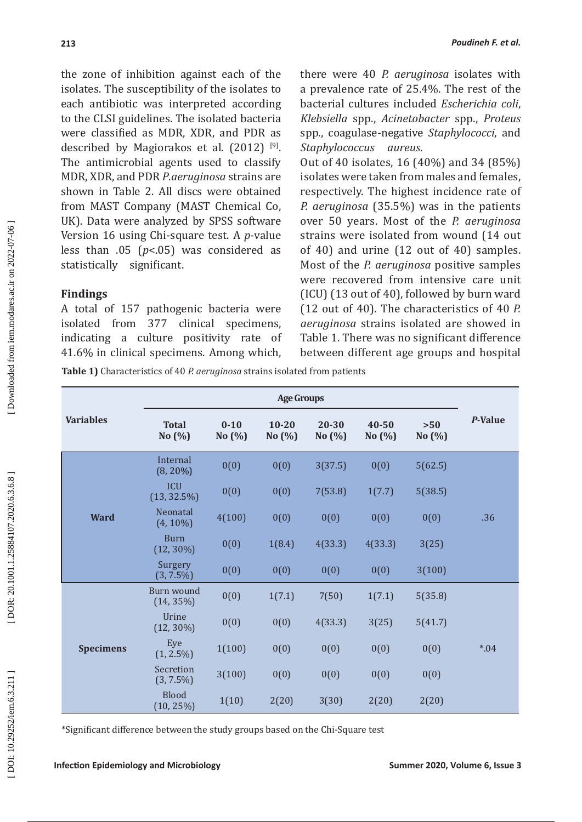the zone of inhibition against each of the isolates. The susceptibility of the isolates to each antibiotic was interpreted according to the CLSI guidelines. The isolated bacteria were classified as MDR, XDR, and PDR as described by Magiorakos et al.  $(2012)$ <sup>[9]</sup>. The antimicrobial agents used to classify MDR, XDR, and PDR *P.aeruginosa* strains are shown in Table 2. All discs were obtained from MAST Company (MAST Chemical Co, UK). Data were analyzed by SPSS software Version 16 using Chi-square test. A *p*-value less than .05 ( *p*<.05) was considered as statistically significant.

### **Findings**

A total of 157 pathogenic bacteria were isolated from 377 clinical specimens, indicating a culture positivity rate of 41.6% in clinical specimens. Among which, there were 40 *P. aeruginosa* isolates with a prevalence rate of 25.4%. The rest of the bacterial cultures included *Escherichia coli*, *Klebsiella* spp., *Acinetobacter* spp., *Proteus* spp ., coagulase-negative *Staphylococci*, and *Staphylococcus aureus* .

Out of 40 isolates, 16 (40%) and 34 (85%) isolates were taken from males and females, respectively. The highest incidence rate of *P. aeruginosa* (35.5%) was in the patients over 50 years. Most of the *P. aeruginosa* strains were isolated from wound (14 out of 40) and urine (12 out of 40) samples. Most of the *P. aeruginosa* positive samples were recovered from intensive care unit (ICU) (13 out of 40), followed by burn ward (12 out of 40). The characteristics of 40 *P. aeruginosa* strains isolated are showed in Table 1. There was no significant difference between different age groups and hospital

**Table 1)** Characteristics of 40 *P. aeruginosa* strains isolated from patients

|                  | <b>Age Groups</b>            |                       |                        |                    |                 |                 |         |
|------------------|------------------------------|-----------------------|------------------------|--------------------|-----------------|-----------------|---------|
| <b>Variables</b> | <b>Total</b><br>No (%)       | $0 - 10$<br>No $(\%)$ | $10 - 20$<br>No $(\%)$ | 20-30<br>No $(\%)$ | 40-50<br>No (%) | $>50$<br>No (%) | P-Value |
| <b>Ward</b>      | Internal<br>$(8, 20\%)$      | 0(0)                  | 0(0)                   | 3(37.5)            | 0(0)            | 5(62.5)         |         |
|                  | <b>ICU</b><br>$(13, 32.5\%)$ | 0(0)                  | 0(0)                   | 7(53.8)            | 1(7.7)          | 5(38.5)         |         |
|                  | Neonatal<br>$(4, 10\%)$      | 4(100)                | 0(0)                   | 0(0)               | 0(0)            | 0(0)            | .36     |
|                  | <b>Burn</b><br>$(12, 30\%)$  | 0(0)                  | 1(8.4)                 | 4(33.3)            | 4(33.3)         | 3(25)           |         |
|                  | Surgery<br>$(3, 7.5\%)$      | 0(0)                  | 0(0)                   | 0(0)               | 0(0)            | 3(100)          |         |
| <b>Specimens</b> | Burn wound<br>$(14, 35\%)$   | 0(0)                  | 1(7.1)                 | 7(50)              | 1(7.1)          | 5(35.8)         |         |
|                  | Urine<br>$(12, 30\%)$        | 0(0)                  | 0(0)                   | 4(33.3)            | 3(25)           | 5(41.7)         |         |
|                  | Eye<br>$(1, 2.5\%)$          | 1(100)                | 0(0)                   | 0(0)               | 0(0)            | 0(0)            | $*04$   |
|                  | Secretion<br>$(3, 7.5\%)$    | 3(100)                | 0(0)                   | 0(0)               | 0(0)            | 0(0)            |         |
|                  | <b>Blood</b><br>$(10, 25\%)$ | 1(10)                 | 2(20)                  | 3(30)              | 2(20)           | 2(20)           |         |

\*Significant difference between the study groups based on the Chi-Square test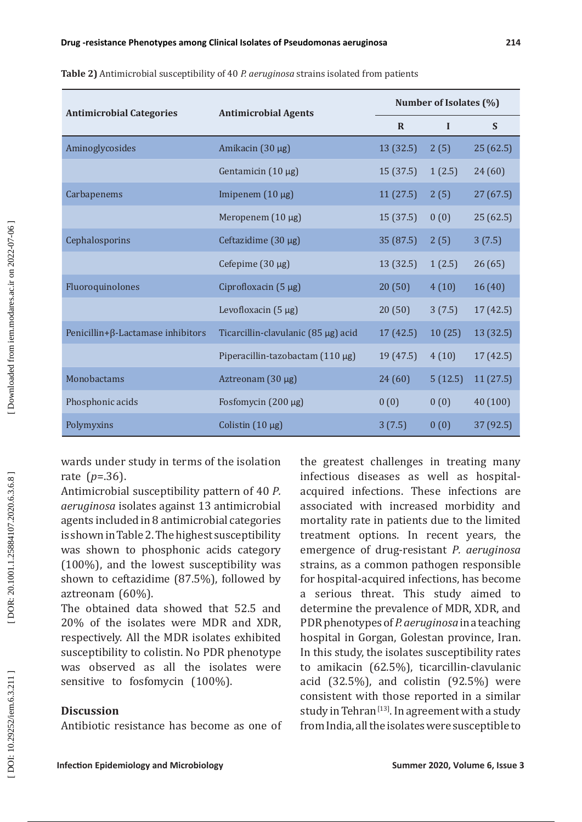|                                          | H.<br>141 |
|------------------------------------------|-----------|
|                                          | Amino     |
|                                          |           |
|                                          | Carbap    |
|                                          |           |
|                                          | Cephal    |
|                                          |           |
|                                          | Fluoro    |
|                                          |           |
|                                          | Penicil   |
| ded from iem.modares.ac.ir on 2022-07-06 |           |
|                                          |           |

| Table 2) Antimicrobial susceptibility of 40 P. aeruginosa strains isolated from patients |  |
|------------------------------------------------------------------------------------------|--|
|------------------------------------------------------------------------------------------|--|

| <b>Antimicrobial Categories</b>           | <b>Antimicrobial Agents</b>           | Number of Isolates (%) |         |           |  |
|-------------------------------------------|---------------------------------------|------------------------|---------|-----------|--|
|                                           |                                       | $\mathbf R$            | I       | S         |  |
| Aminoglycosides                           | Amikacin (30 µg)                      | 13 (32.5)              | 2(5)    | 25(62.5)  |  |
|                                           | Gentamicin $(10 \mu g)$               | 15(37.5)               | 1(2.5)  | 24(60)    |  |
| Carbapenems                               | Imipenem $(10 \mu g)$                 | 11(27.5)               | 2(5)    | 27(67.5)  |  |
|                                           | Meropenem (10 µg)                     | 15 (37.5)              | 0(0)    | 25(62.5)  |  |
| Cephalosporins                            | Ceftazidime (30 µg)                   | 35(87.5)               | 2(5)    | 3(7.5)    |  |
|                                           | Cefepime (30 µg)                      | 13 (32.5)              | 1(2.5)  | 26(65)    |  |
| Fluoroquinolones                          | Ciprofloxacin (5 µg)                  | 20(50)                 | 4(10)   | 16(40)    |  |
|                                           | Levofloxacin $(5 \mu g)$              | 20(50)                 | 3(7.5)  | 17 (42.5) |  |
| Penicillin+ $\beta$ -Lactamase inhibitors | Ticarcillin-clavulanic (85 µg) acid   | 17(42.5)               | 10(25)  | 13 (32.5) |  |
|                                           | Piperacillin-tazobactam $(110 \mu g)$ | 19(47.5)               | 4(10)   | 17 (42.5) |  |
| Monobactams                               | Aztreonam (30 µg)                     | 24(60)                 | 5(12.5) | 11(27.5)  |  |
| Phosphonic acids                          | Fosfomycin (200 µg)                   | 0(0)                   | 0(0)    | 40(100)   |  |
| Polymyxins                                | Colistin $(10 \mu g)$                 | 3(7.5)                 | 0(0)    | 37 (92.5) |  |

wards under study in terms of the isolation rate ( *p*=.36).

Antimicrobial susceptibility pattern of 40 *P. aeruginosa* isolates against 13 antimicrobial agents included in 8 antimicrobial categories is shown in Table 2. The highest susceptibility was shown to phosphonic acids category (100%), and the lowest susceptibility was shown to ceftazidime (87.5%), followed by aztreonam (60%).

The obtained data showed that 52.5 and 20% of the isolates were MDR and XDR, respectively. All the MDR isolates exhibited susceptibility to colistin. No PDR phenotype was observed as all the isolates were sensitive to fosfomycin (100%).

# **Discussion**

Antibiotic resistance has become as one of

the greatest challenges in treating many infectious diseases as well as hospitalacquired infections. These infections are associated with increased morbidity and mortality rate in patients due to the limited treatment options. In recent years, the emergence of drug-resistant *P. aeruginosa* strains, as a common pathogen responsible for hospital-acquired infections, has become a serious threat. This study aimed to determine the prevalence of MDR, XDR, and PDR phenotypes of *P. aeruginosa* in a teaching hospital in Gorgan, Golestan province, Iran. In this study, the isolates susceptibility rates to amikacin (62.5%), ticarcillin-clavulanic acid (32.5%), and colistin (92.5%) were consistent with those reported in a similar study in Tehran<sup>[13]</sup>. In agreement with a study from India, all the isolates were susceptible to

DOI: 10.29252/iem.6.3.211]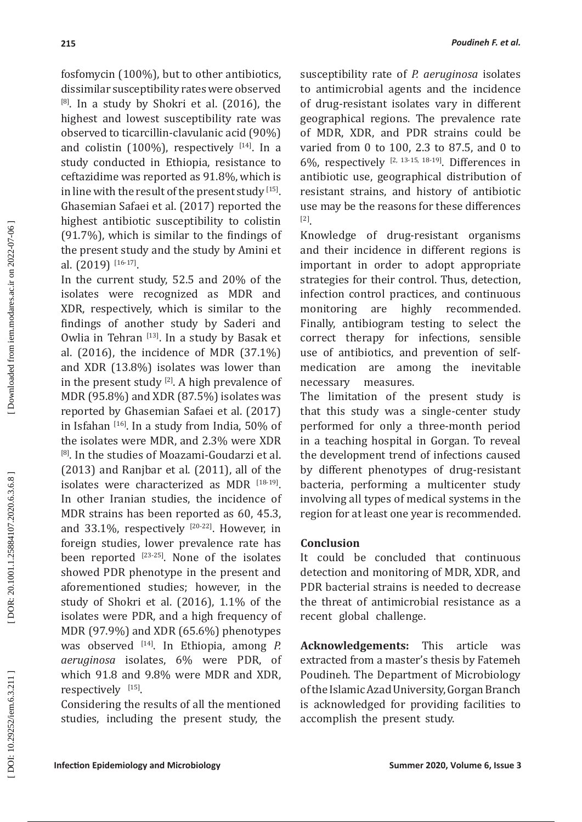fosfomycin (100%), but to other antibiotics, dissimilar susceptibility rates were observed  $[8]$ . In a study by Shokri et al. (2016), the highest and lowest susceptibility rate was observed to ticarcillin-clavulanic acid (90%) and colistin  $(100\%)$ , respectively  $[14]$ . In a study conducted in Ethiopia, resistance to ceftazidime was reported as 91.8%, which is in line with the result of the present study [15]. Ghasemian Safaei et al. (2017) reported the highest antibiotic susceptibility to colistin (91.7%), which is similar to the findings of the present study and the study by Amini et al. (2019) [16-17].

In the current study, 52.5 and 20% of the isolates were recognized as MDR and XDR, respectively, which is similar to the findings of another study by Saderi and Owlia in Tehran [13]. In a study by Basak et al. (2016), the incidence of MDR (37.1%) and XDR (13.8%) isolates was lower than in the present study  $[2]$ . A high prevalence of MDR (95.8%) and XDR (87.5%) isolates was reported by Ghasemian Safaei et al. (2017) in Isfahan [16]. In a study from India, 50% of the isolates were MDR, and 2.3% were XDR [8]. In the studies of Moazami-Goudarzi et al. (2013) and Ranjbar et al. (2011), all of the isolates were characterized as MDR [18-19]. In other Iranian studies, the incidence of MDR strains has been reported as 60, 45.3, and  $33.1\%$ , respectively  $[20-22]$ . However, in foreign studies, lower prevalence rate has been reported  $[23-25]$ . None of the isolates showed PDR phenotype in the present and aforementioned studies; however, in the study of Shokri et al. (2016), 1.1% of the isolates were PDR, and a high frequency of MDR (97.9%) and XDR (65.6%) phenotypes was observed <sup>[14]</sup>. In Ethiopia, among *P*. *aeruginosa* isolates, 6% were PDR, of which 91.8 and 9.8% were MDR and XDR, respectively <sup>[15]</sup>.

Considering the results of all the mentioned studies, including the present study, the

susceptibility rate of *P. aeruginosa* isolates to antimicrobial agents and the incidence of drug-resistant isolates vary in different geographical regions. The prevalence rate of MDR, XDR, and PDR strains could be varied from 0 to 100, 2.3 to 87.5, and 0 to 6%, respectively  $[2, 13-15, 18-19]$ . Differences in antibiotic use, geographical distribution of resistant strains, and history of antibiotic use may be the reasons for these differences [2].

Knowledge of drug-resistant organisms and their incidence in different regions is important in order to adopt appropriate strategies for their control. Thus, detection, infection control practices, and continuous monitoring are highly recommended. Finally, antibiogram testing to select the correct therapy for infections, sensible use of antibiotics, and prevention of self-<br>medication are among the inevitable are among the inevitable necessary measures.

The limitation of the present study is that this study was a single-center study performed for only a three-month period in a teaching hospital in Gorgan. To reveal the development trend of infections caused by different phenotypes of drug-resistant bacteria, performing a multicenter study involving all types of medical systems in the region for at least one year is recommended.

### **Conclusion**

It could be concluded that continuous detection and monitoring of MDR, XDR, and PDR bacterial strains is needed to decrease the threat of antimicrobial resistance as a recent global challenge.

**Acknowledgements:** This article was extracted from a master's thesis by Fatemeh Poudineh . The Department of Microbiology of the Islamic Azad University, Gorgan Branch is acknowledged for providing facilities to accomplish the present study.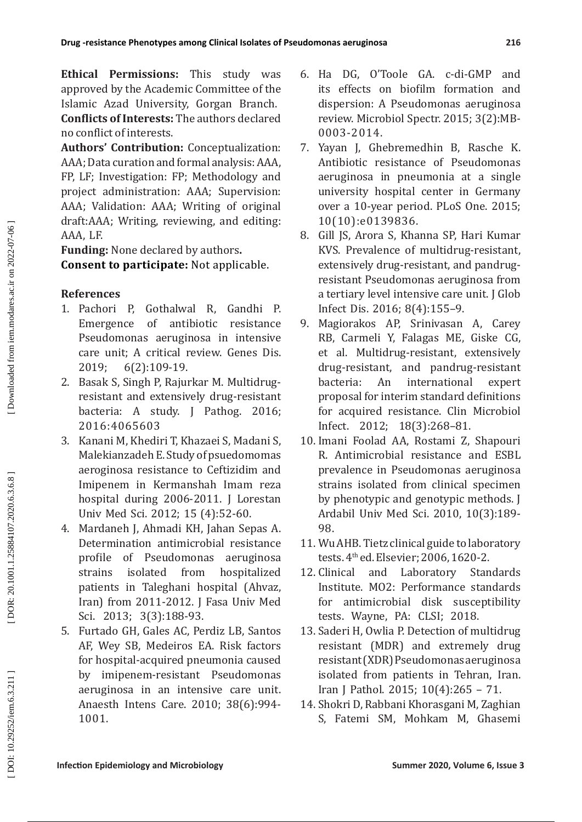**Ethical Permissions:** This study was approved by the Academic Committee of the Islamic Azad University, Gorgan Branch. **Conflicts of Interests:** The authors declared no conflict of interests.

**Authors' Contribution:** Conceptualization: AAA; Data curation and formal analysis: AAA, FP, LF; Investigation: FP; Methodology and project administration: AAA; Supervision: AAA; Validation: AAA; Writing of original draft:AAA; Writing, reviewing, and editing: AAA, LF.

**Funding:** None declared by authors **. Consent to participate:** Not applicable.

# **References**

- 1. Pachori P, Gothalwal R, Gandhi P. Emergence of antibiotic resistance Pseudomonas aeruginosa in intensive care unit; A critical review. Genes Dis.<br>2019: 6(2):109-19.  $6(2):109-19.$
- 2. Basak S, Singh P, Rajurkar M. Multidrugresistant and extensively drug-resistant bacteria: A study. J Pathog. 2016; 2016:4065603
- 3. Kanani M, Khediri T, Khazaei S, Madani S, Malekianzadeh E. Study of psuedomomas aeroginosa resistance to Ceftizidim and Imipenem in Kermanshah Imam reza hospital during 2006-2011. J Lorestan Univ Med Sci. 2012; 15 (4):52-60.
- 4. Mardaneh J, Ahmadi KH, Jahan Sepas A. Determination antimicrobial resistance profile of Pseudomonas aeruginosa strains isolated from hospitalized patients in Taleghani hospital (Ahvaz, Iran) from 2011-2012. J Fasa Univ Med Sci. 2013; 3(3):188-93.
- 5. Furtado GH, Gales AC, Perdiz LB, Santos AF, Wey SB, Medeiros EA. Risk factors for hospital-acquired pneumonia caused by imipenem-resistant Pseudomonas aeruginosa in an intensive care unit. Anaesth Intens Care. 2010; 38(6):994- 1001.
- 6. Ha DG, O'Toole GA. c-di-GMP and its effects on biofilm formation and dispersion: A Pseudomonas aeruginosa review. Microbiol Spectr. 2015; 3(2):MB-0003-2014.
- 7. Yayan J, Ghebremedhin B, Rasche K. Antibiotic resistance of Pseudomonas aeruginosa in pneumonia at a single university hospital center in Germany over a 10-year period. PLoS One. 2015; 10(10):e0139836.
- 8. Gill JS, Arora S, Khanna SP, Hari Kumar KVS. Prevalence of multidrug-resistant, extensively drug-resistant, and pandrugresistant Pseudomonas aeruginosa from a tertiary level intensive care unit. J Glob Infect Dis. 2016; 8(4):155–9.
- 9. Magiorakos AP, Srinivasan A, Carey RB, Carmeli Y, Falagas ME, Giske CG, et al. Multidrug-resistant, extensively drug-resistant, and pandrug-resistant<br>bacteria: An international expert bacteria: An international proposal for interim standard definitions for acquired resistance. Clin Microbiol Infect. 2012; 18(3):268–81.
- 10. Imani Foolad AA, Rostami Z, Shapouri R. Antimicrobial resistance and ESBL prevalence in Pseudomonas aeruginosa strains isolated from clinical specimen by phenotypic and genotypic methods. J Ardabil Univ Med Sci. 2010, 10(3):189- 98 .
- 11. Wu AHB. Tietz clinical guide to laboratory tests. 4<sup>th</sup> ed. Elsevier; 2006, 1620-2.
- 12. Clinical and Laboratory Standards Institute. MO2: Performance standards for antimicrobial disk susceptibility tests. Wayne, PA: CLSI; 2018.
- 13. Saderi H, Owlia P. Detection of multidrug resistant (MDR) and extremely drug resistant (XDR) Pseudomonas aeruginosa isolated from patients in Tehran, Iran. Iran J Pathol. 2015; 10(4):265 – 71.
- 14. Shokri D, Rabbani Khorasgani M, Zaghian S, Fatemi SM, Mohkam M, Ghasemi

DOR: 20.1001.1.25884107.2020.6.3.6.8

DOI: 10.29252/iem.6.3.211]